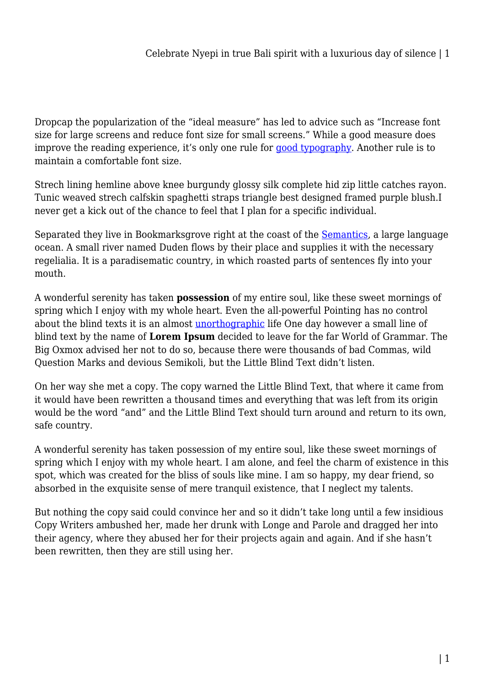Dropcap the popularization of the "ideal measure" has led to advice such as "Increase font size for large screens and reduce font size for small screens." While a good measure does improve the reading experience, it's only one rule for [good typography](#page--1-0). Another rule is to maintain a comfortable font size.

Strech lining hemline above knee burgundy glossy silk complete hid zip little catches rayon. Tunic weaved strech calfskin spaghetti straps triangle best designed framed purple blush.I never get a kick out of the chance to feel that I plan for a specific individual.

Separated they live in Bookmarksgrove right at the coast of the [Semantics,](#page--1-0) a large language ocean. A small river named Duden flows by their place and supplies it with the necessary regelialia. It is a paradisematic country, in which roasted parts of sentences fly into your mouth.

A wonderful serenity has taken **possession** of my entire soul, like these sweet mornings of spring which I enjoy with my whole heart. Even the all-powerful Pointing has no control about the blind texts it is an almost [unorthographic](#page--1-0) life One day however a small line of blind text by the name of **Lorem Ipsum** decided to leave for the far World of Grammar. The Big Oxmox advised her not to do so, because there were thousands of bad Commas, wild Question Marks and devious Semikoli, but the Little Blind Text didn't listen.

On her way she met a copy. The copy warned the Little Blind Text, that where it came from it would have been rewritten a thousand times and everything that was left from its origin would be the word "and" and the Little Blind Text should turn around and return to its own, safe country.

A wonderful serenity has taken possession of my entire soul, like these sweet mornings of spring which I enjoy with my whole heart. I am alone, and feel the charm of existence in this spot, which was created for the bliss of souls like mine. I am so happy, my dear friend, so absorbed in the exquisite sense of mere tranquil existence, that I neglect my talents.

But nothing the copy said could convince her and so it didn't take long until a few insidious Copy Writers ambushed her, made her drunk with Longe and Parole and dragged her into their agency, where they abused her for their projects again and again. And if she hasn't been rewritten, then they are still using her.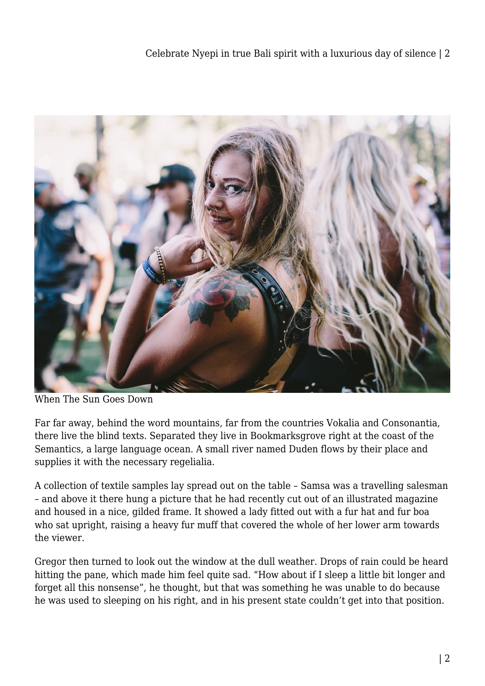

When The Sun Goes Down

Far far away, behind the word mountains, far from the countries Vokalia and Consonantia, there live the blind texts. Separated they live in Bookmarksgrove right at the coast of the Semantics, a large language ocean. A small river named Duden flows by their place and supplies it with the necessary regelialia.

A collection of textile samples lay spread out on the table – Samsa was a travelling salesman – and above it there hung a picture that he had recently cut out of an illustrated magazine and housed in a nice, gilded frame. It showed a lady fitted out with a fur hat and fur boa who sat upright, raising a heavy fur muff that covered the whole of her lower arm towards the viewer.

Gregor then turned to look out the window at the dull weather. Drops of rain could be heard hitting the pane, which made him feel quite sad. "How about if I sleep a little bit longer and forget all this nonsense", he thought, but that was something he was unable to do because he was used to sleeping on his right, and in his present state couldn't get into that position.